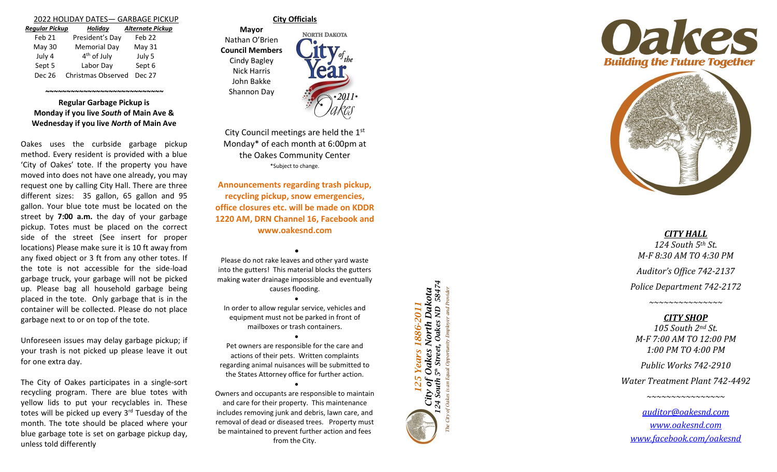| 2022 HOLIDAY DATES- GARBAGE PICKUP |                           |                         |  |  |
|------------------------------------|---------------------------|-------------------------|--|--|
| <b>Regular Pickup</b>              | Holiday                   | <b>Alternate Pickup</b> |  |  |
| Feb 21                             | President's Day           | Feb <sub>22</sub>       |  |  |
| May 30                             | <b>Memorial Day</b>       | May 31                  |  |  |
| July 4                             | 4 <sup>th</sup> of July   | July 5                  |  |  |
| Sept 5                             | Labor Day                 | Sept 6                  |  |  |
| Dec 26                             | <b>Christmas Observed</b> | <b>Dec 27</b>           |  |  |

**Regular Garbage Pickup is Monday if you live** *South* **of Main Ave & Wednesday if you live** *North* **of Main Ave**

*~~~~~~~~~~~~~~~~~~~~~~~~~~~~*

Oakes uses the curbside garbage pickup method. Every resident is provided with a blue 'City of Oakes' tote. If the property you have moved into does not have one already, you may request one by calling City Hall. There are three different sizes: 35 gallon, 65 gallon and 95 gallon. Your blue tote must be located on the street by **7:00 a.m.** the day of your garbage pickup. Totes must be placed on the correct side of the street (See insert for proper locations) Please make sure it is 10 ft away from any fixed object or 3 ft from any other totes. If the tote is not accessible for the side -load garbage truck, your garbage will not be picked up. Please bag all household garbage being placed in the tote. Only garbage that is in the container will be collected. Please do not place garbage next to or on top of the tote.

Unforeseen issues may delay garbage pickup; if your trash is not picked up please leave it out for one extra day .

The City of Oakes participates in a single -sort recycling program. There are blue totes with yellow lids to put your recyclables in. These totes will be picked up every 3<sup>rd</sup> Tuesday of the month. The tote should be placed where your blue garbage tote is set on garbage pickup day, unless told differently

## **City Officials**

**Mayor NORTH DAKOTA** Nathan O'Brien **Council Members** Cindy Bagley Nick Harris John Bakke Shannon Day

City Council meetings are held the 1st Monday \* of each month at 6:00pm at the Oakes Community Center \*Subject to change.

**Announcements regarding trash pickup, recycling pickup, snow emergencies, office closures etc . will be made on KDDR 1220 AM, DRN Channel 16, Facebook and www.oakesnd.com**

Please do not rake leaves and other yard waste into the gutters! This material blocks the gutters making water drainage impossible and eventually causes flooding.

•

•

•

In order to allow regular service, vehicles and equipment must not be parked in front of mailboxes or trash containers.

Pet owners are responsible for the care and actions of their pets. Written complaints regarding animal nuisances will be submitted to the States Attorney office for further action.

•

Owners and occupants are responsible to maintain and care for their property. This maintenance includes removing junk and debris, lawn care, and removal of dead or diseased trees. Property must be maintained to prevent further action and fees from the City.

*124 South 5th Street, Oakes ND 58474* ity of Oakes North Dakota<br>South 5<sup>th</sup> Street, Oakes ND 5847 *The City of Oakes is an Equal Opportunity Employer and ProviderCity of Oakes North Dakota* 1886-2011 *125 Years 1886-2011*





*CITY HALL 124 South 5th St. M -F 8:30 AM TO 4:30 PM Auditor's Office 742 -2137 Police Department 742 -2172*

# *CITY SHOP*

*~~~~~~~~~~~~~~~*

*105 South 2nd St. M -F 7:00 AM TO 12:00 PM 1:00 PM TO 4:00 PM*

*Public Works 742 -2910*

*Water Treatment Plant 742 -4492 ~~~~~~~~~~~~~~~~*

*[auditor@oakesnd.com](mailto:auditor@oakesnd.com) [www.oakesnd.com](http://www.oakesnd.com/) [www.facebook.com/oakesnd](http://www.facebook.com/oakesnd)*